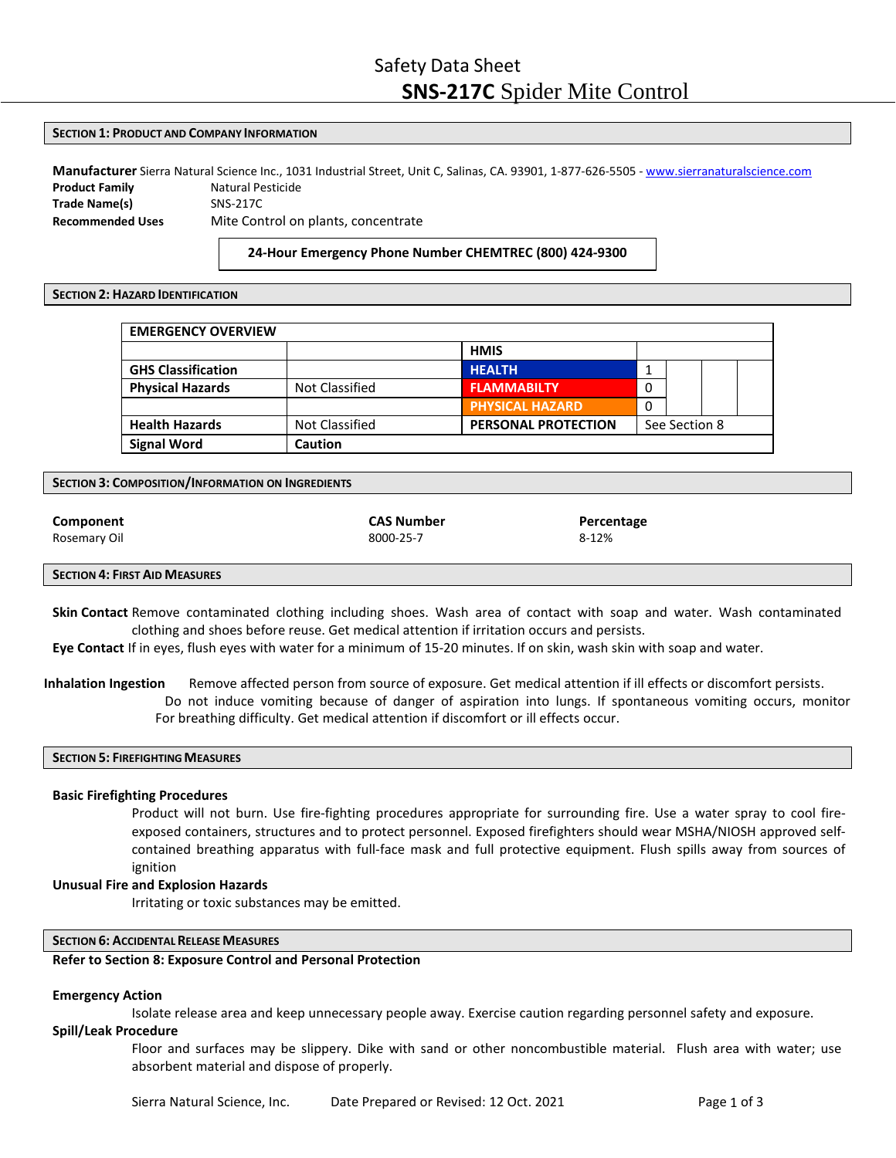#### **SECTION 1: PRODUCT AND COMPANY INFORMATION**

**Manufacturer** Sierra Natural Science Inc., 1031 Industrial Street, Unit C, Salinas, CA. 93901, 1‐877‐626‐5505 ‐ [www.sierranaturalscience.com](http://www.sierranaturalscience.com/) **Product Family Matural Pesticide Trade Name(s)** SNS‐217C **Recommended Uses** Mite Control on plants, concentrate

**24‐Hour Emergency Phone Number CHEMTREC (800) 424‐9300**

#### **SECTION 2: HAZARD IDENTIFICATION**

| <b>EMERGENCY OVERVIEW</b> |                |                            |               |  |  |
|---------------------------|----------------|----------------------------|---------------|--|--|
|                           |                | <b>HMIS</b>                |               |  |  |
| <b>GHS Classification</b> |                | <b>HEALTH</b>              |               |  |  |
| <b>Physical Hazards</b>   | Not Classified | <b>FLAMMABILTY</b>         | 0             |  |  |
|                           |                | <b>PHYSICAL HAZARD</b>     | 0             |  |  |
| <b>Health Hazards</b>     | Not Classified | <b>PERSONAL PROTECTION</b> | See Section 8 |  |  |
| <b>Signal Word</b>        | <b>Caution</b> |                            |               |  |  |

**SECTION 3: COMPOSITION/INFORMATION ON INGREDIENTS**

| Component    |  |  |
|--------------|--|--|
| Rosemary Oil |  |  |

| CAS Number |
|------------|
| 8000-25-7  |

**Percentage** 8‐12%

#### **SECTION 4: FIRST AID MEASURES**

**Skin Contact** Remove contaminated clothing including shoes. Wash area of contact with soap and water. Wash contaminated clothing and shoes before reuse. Get medical attention if irritation occurs and persists.

**Eye Contact** If in eyes, flush eyes with water for a minimum of 15-20 minutes. If on skin, wash skin with soap and water.

**Inhalation Ingestion** Remove affected person from source of exposure. Get medical attention if ill effects or discomfort persists. Do not induce vomiting because of danger of aspiration into lungs. If spontaneous vomiting occurs, monitor For breathing difficulty. Get medical attention if discomfort or ill effects occur.

# **SECTION 5: FIREFIGHTINGMEASURES**

# **Basic Firefighting Procedures**

Product will not burn. Use fire‐fighting procedures appropriate for surrounding fire. Use a water spray to cool fire‐ exposed containers, structures and to protect personnel. Exposed firefighters should wear MSHA/NIOSH approved self‐ contained breathing apparatus with full‐face mask and full protective equipment. Flush spills away from sources of ignition

# **Unusual Fire and Explosion Hazards**

Irritating or toxic substances may be emitted.

# **SECTION 6: ACCIDENTALRELEASE MEASURES**

#### **Refer to Section 8: Exposure Control and Personal Protection**

#### **Emergency Action**

Isolate release area and keep unnecessary people away. Exercise caution regarding personnel safety and exposure.

# **Spill/Leak Procedure**

Floor and surfaces may be slippery. Dike with sand or other noncombustible material. Flush area with water; use absorbent material and dispose of properly.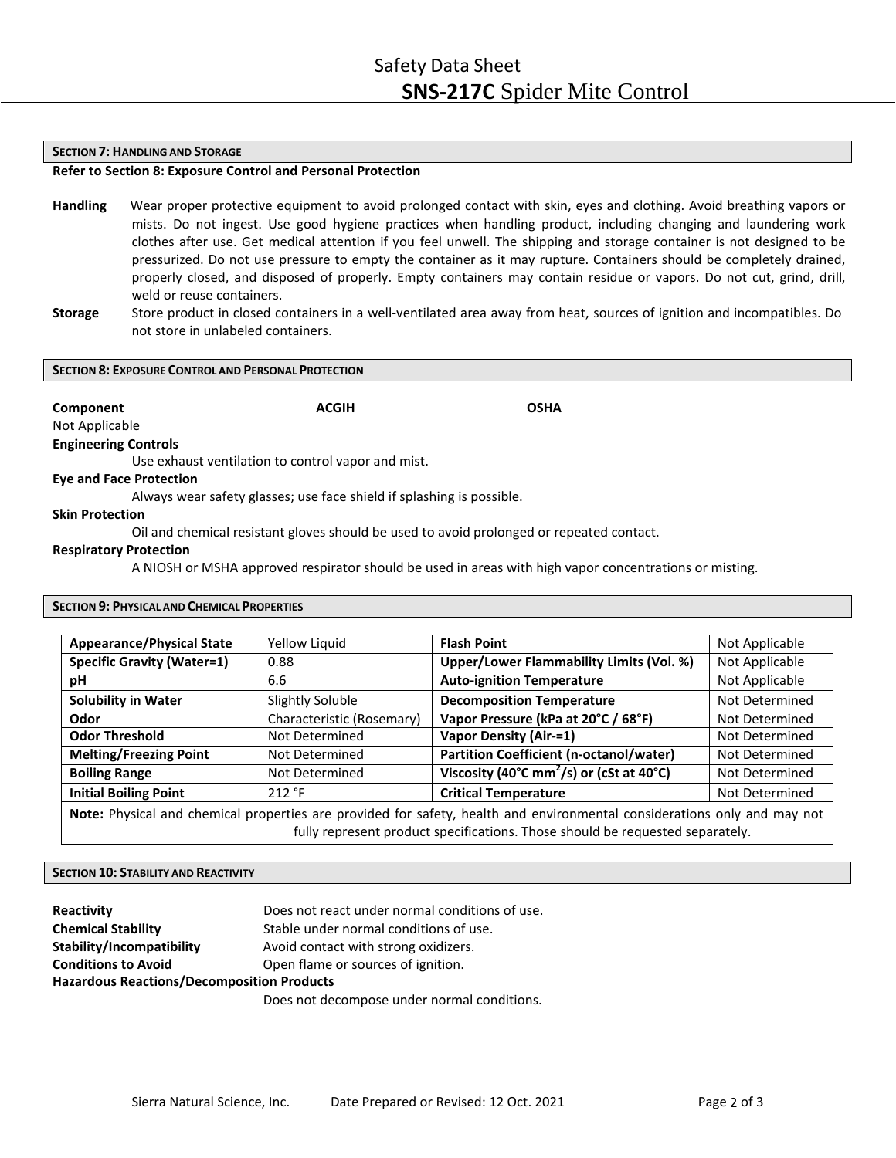#### **SECTION 7: HANDLING AND STORAGE**

# **Refer to Section 8: Exposure Control and Personal Protection**

- **Handling** Wear proper protective equipment to avoid prolonged contact with skin, eyes and clothing. Avoid breathing vapors or mists. Do not ingest. Use good hygiene practices when handling product, including changing and laundering work clothes after use. Get medical attention if you feel unwell. The shipping and storage container is not designed to be pressurized. Do not use pressure to empty the container as it may rupture. Containers should be completely drained, properly closed, and disposed of properly. Empty containers may contain residue or vapors. Do not cut, grind, drill, weld or reuse containers.
- **Storage** Store product in closed containers in a well‐ventilated area away from heat, sources of ignition and incompatibles. Do not store in unlabeled containers.

#### **SECTION 8: EXPOSURE CONTROL AND PERSONAL PROTECTION**

**Component Component ACGIH Component** OSHA

# Not Applicable **Engineering Controls**

Use exhaust ventilation to control vapor and mist.

#### **Eye and Face Protection**

Always wear safety glasses; use face shield if splashing is possible.

# **Skin Protection**

Oil and chemical resistant gloves should be used to avoid prolonged or repeated contact.

#### **Respiratory Protection**

A NIOSH or MSHA approved respirator should be used in areas with high vapor concentrations or misting.

# **SECTION 9: PHYSICAL AND CHEMICAL PROPERTIES**

| <b>Appearance/Physical State</b>                                                                                                                                                                          | Yellow Liquid                         | <b>Flash Point</b>                                                                           | Not Applicable |
|-----------------------------------------------------------------------------------------------------------------------------------------------------------------------------------------------------------|---------------------------------------|----------------------------------------------------------------------------------------------|----------------|
| <b>Specific Gravity (Water=1)</b>                                                                                                                                                                         | 0.88                                  | Upper/Lower Flammability Limits (Vol. %)<br>Not Applicable                                   |                |
| рH                                                                                                                                                                                                        | 6.6                                   | <b>Auto-ignition Temperature</b><br>Not Applicable                                           |                |
| <b>Solubility in Water</b>                                                                                                                                                                                | Slightly Soluble                      | <b>Decomposition Temperature</b><br>Not Determined                                           |                |
| Odor                                                                                                                                                                                                      | Characteristic (Rosemary)             | Vapor Pressure (kPa at 20°C / 68°F)                                                          | Not Determined |
| <b>Odor Threshold</b>                                                                                                                                                                                     | Not Determined                        | <b>Vapor Density (Air-=1)</b>                                                                | Not Determined |
| <b>Melting/Freezing Point</b>                                                                                                                                                                             | Not Determined                        | <b>Partition Coefficient (n-octanol/water)</b><br>Not Determined                             |                |
| <b>Boiling Range</b>                                                                                                                                                                                      | Not Determined                        | Viscosity (40 $^{\circ}$ C mm <sup>2</sup> /s) or (cSt at 40 $^{\circ}$ C)<br>Not Determined |                |
| <b>Initial Boiling Point</b>                                                                                                                                                                              | <b>Critical Temperature</b><br>212 °F |                                                                                              | Not Determined |
| Note: Physical and chemical properties are provided for safety, health and environmental considerations only and may not<br>fully represent product specifications. Those should be requested separately. |                                       |                                                                                              |                |

# **SECTION 10: STABILITY AND REACTIVITY**

| Reactivity                                        | Does not react under normal conditions of use. |  |  |
|---------------------------------------------------|------------------------------------------------|--|--|
| <b>Chemical Stability</b>                         | Stable under normal conditions of use.         |  |  |
| Stability/Incompatibility                         | Avoid contact with strong oxidizers.           |  |  |
| <b>Conditions to Avoid</b>                        | Open flame or sources of ignition.             |  |  |
| <b>Hazardous Reactions/Decomposition Products</b> |                                                |  |  |
|                                                   |                                                |  |  |

Does not decompose under normal conditions.